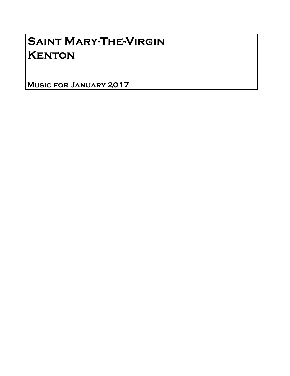## Saint Mary-The-Virgin **KENTON**

Music for January 2017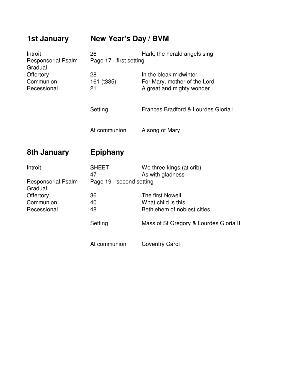| 1st January                                      | New Year's Day / BVM                                          |                                                                                     |  |
|--------------------------------------------------|---------------------------------------------------------------|-------------------------------------------------------------------------------------|--|
| Introit<br><b>Responsorial Psalm</b><br>Gradual  | 26<br>Hark, the herald angels sing<br>Page 17 - first setting |                                                                                     |  |
| Offertory<br>Communion<br>Recessional            | 28<br>161 (t385)<br>21                                        | In the bleak midwinter<br>For Mary, mother of the Lord<br>A great and mighty wonder |  |
|                                                  | Setting                                                       | Frances Bradford & Lourdes Gloria I                                                 |  |
|                                                  | At communion                                                  | A song of Mary                                                                      |  |
| 8th January                                      | <b>Epiphany</b>                                               |                                                                                     |  |
| Introit<br><b>Responsorial Psalm</b>             | <b>SHEET</b><br>47<br>Page 19 - second setting                | We three kings (at crib)<br>As with gladness                                        |  |
| Gradual<br>Offertory<br>Communion<br>Recessional | 36<br>40<br>48                                                | The first Nowell<br>What child is this<br>Bethlehem of noblest cities               |  |
|                                                  | Setting                                                       | Mass of St Gregory & Lourdes Gloria II                                              |  |
|                                                  | At communion                                                  | <b>Coventry Carol</b>                                                               |  |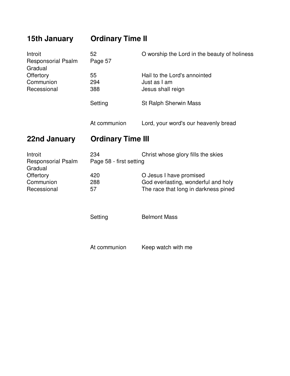| 15th January                                                                             | <b>Ordinary Time II</b>                                              |                                                                                                        |  |
|------------------------------------------------------------------------------------------|----------------------------------------------------------------------|--------------------------------------------------------------------------------------------------------|--|
| Introit<br><b>Responsorial Psalm</b><br>Gradual<br>Offertory<br>Communion<br>Recessional | 52<br>Page 57                                                        | O worship the Lord in the beauty of holiness                                                           |  |
|                                                                                          | 55<br>294<br>388                                                     | Hail to the Lord's annointed<br>Just as I am<br>Jesus shall reign                                      |  |
|                                                                                          | Setting                                                              | <b>St Ralph Sherwin Mass</b>                                                                           |  |
|                                                                                          | At communion                                                         | Lord, your word's our heavenly bread                                                                   |  |
| 22nd January                                                                             | <b>Ordinary Time III</b>                                             |                                                                                                        |  |
| Introit<br><b>Responsorial Psalm</b><br>Gradual<br>Offertory<br>Communion<br>Recessional | 234<br>Christ whose glory fills the skies<br>Page 58 - first setting |                                                                                                        |  |
|                                                                                          | 420<br>288<br>57                                                     | O Jesus I have promised<br>God everlasting, wonderful and holy<br>The race that long in darkness pined |  |
|                                                                                          | Setting                                                              | <b>Belmont Mass</b>                                                                                    |  |
|                                                                                          | At communion                                                         | Keep watch with me                                                                                     |  |